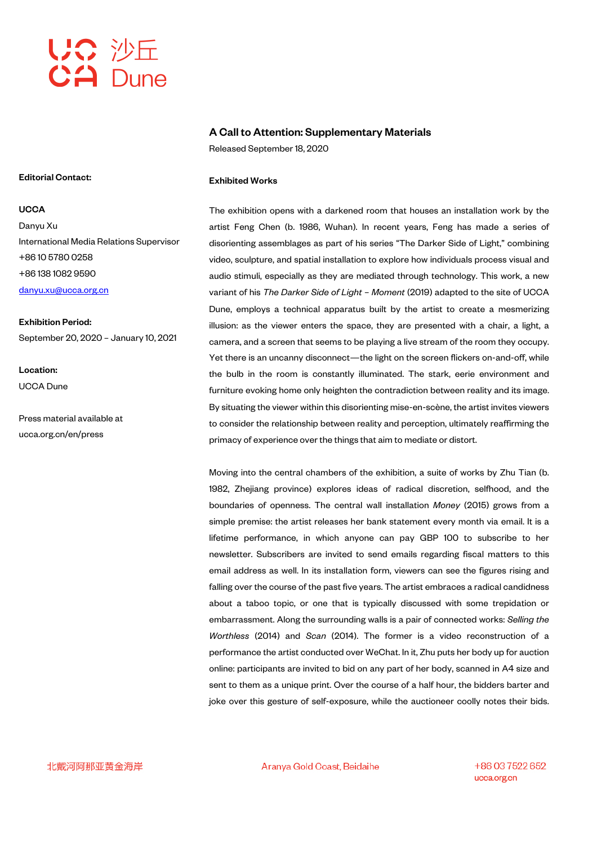

#### Editorial Contact:

**UCCA** Danyu Xu International Media Relations Supervisor +86 10 5780 0258 +86 138 1082 9590 danyu.xu@ucca.org.cn

Exhibition Period: September 20, 2020 – January 10, 2021

Location: UCCA Dune

Press material available at ucca.org.cn/en/press

#### A Call to Attention: Supplementary Materials

Released September 18, 2020

### Exhibited Works

The exhibition opens with a darkened room that houses an installation work by the artist Feng Chen (b. 1986, Wuhan). In recent years, Feng has made a series of disorienting assemblages as part of his series "The Darker Side of Light," combining video, sculpture, and spatial installation to explore how individuals process visual and audio stimuli, especially as they are mediated through technology. This work, a new variant of his *The Darker Side of Light – Moment* (2019) adapted to the site of UCCA Dune, employs a technical apparatus built by the artist to create a mesmerizing illusion: as the viewer enters the space, they are presented with a chair, a light, a camera, and a screen that seems to be playing a live stream of the room they occupy. Yet there is an uncanny disconnect—the light on the screen flickers on-and-off, while the bulb in the room is constantly illuminated. The stark, eerie environment and furniture evoking home only heighten the contradiction between reality and its image. By situating the viewer within this disorienting mise-en-scène, the artist invites viewers to consider the relationship between reality and perception, ultimately reaffirming the primacy of experience over the things that aim to mediate or distort.

Moving into the central chambers of the exhibition, a suite of works by Zhu Tian (b. 1982, Zhejiang province) explores ideas of radical discretion, selfhood, and the boundaries of openness. The central wall installation *Money* (2015) grows from a simple premise: the artist releases her bank statement every month via email. It is a lifetime performance, in which anyone can pay GBP 100 to subscribe to her newsletter. Subscribers are invited to send emails regarding fiscal matters to this email address as well. In its installation form, viewers can see the figures rising and falling over the course of the past five years. The artist embraces a radical candidness about a taboo topic, or one that is typically discussed with some trepidation or embarrassment. Along the surrounding walls is a pair of connected works: *Selling the Worthless* (2014) and *Scan* (2014). The former is a video reconstruction of a performance the artist conducted over WeChat. In it, Zhu puts her body up for auction online: participants are invited to bid on any part of her body, scanned in A4 size and sent to them as a unique print. Over the course of a half hour, the bidders barter and joke over this gesture of self-exposure, while the auctioneer coolly notes their bids.

北戴河阿那亚黄金海岸

Aranya Gold Coast, Beidaihe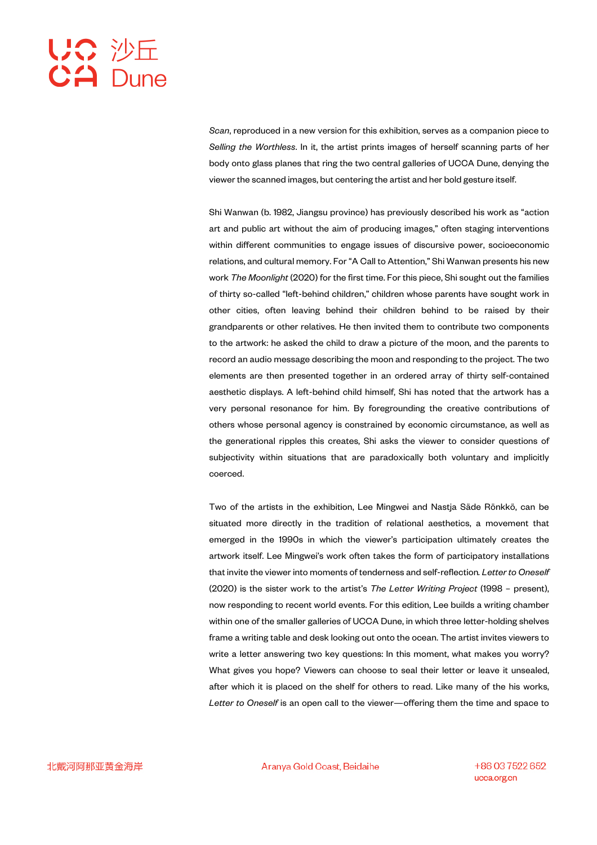# UC 沙丘<br>CA Dune

*Scan*, reproduced in a new version for this exhibition, serves as a companion piece to *Selling the Worthless*. In it, the artist prints images of herself scanning parts of her body onto glass planes that ring the two central galleries of UCCA Dune, denying the viewer the scanned images, but centering the artist and her bold gesture itself.

Shi Wanwan (b. 1982, Jiangsu province) has previously described his work as "action art and public art without the aim of producing images," often staging interventions within different communities to engage issues of discursive power, socioeconomic relations, and cultural memory. For "A Call to Attention," Shi Wanwan presents his new work *The Moonlight* (2020) for the first time. For this piece, Shi sought out the families of thirty so-called "left-behind children," children whose parents have sought work in other cities, often leaving behind their children behind to be raised by their grandparents or other relatives. He then invited them to contribute two components to the artwork: he asked the child to draw a picture of the moon, and the parents to record an audio message describing the moon and responding to the project. The two elements are then presented together in an ordered array of thirty self-contained aesthetic displays. A left-behind child himself, Shi has noted that the artwork has a very personal resonance for him. By foregrounding the creative contributions of others whose personal agency is constrained by economic circumstance, as well as the generational ripples this creates, Shi asks the viewer to consider questions of subjectivity within situations that are paradoxically both voluntary and implicitly coerced.

Two of the artists in the exhibition, Lee Mingwei and Nastja Säde Rönkkö, can be situated more directly in the tradition of relational aesthetics, a movement that emerged in the 1990s in which the viewer's participation ultimately creates the artwork itself. Lee Mingwei's work often takes the form of participatory installations that invite the viewer into moments of tenderness and self-reflection*. Letter to Oneself* (2020) is the sister work to the artist's *The Letter Writing Project* (1998 – present), now responding to recent world events. For this edition, Lee builds a writing chamber within one of the smaller galleries of UCCA Dune, in which three letter-holding shelves frame a writing table and desk looking out onto the ocean. The artist invites viewers to write a letter answering two key questions: In this moment, what makes you worry? What gives you hope? Viewers can choose to seal their letter or leave it unsealed, after which it is placed on the shelf for others to read. Like many of the his works, *Letter to Oneself* is an open call to the viewer—offering them the time and space to

Aranya Gold Coast, Beidaihe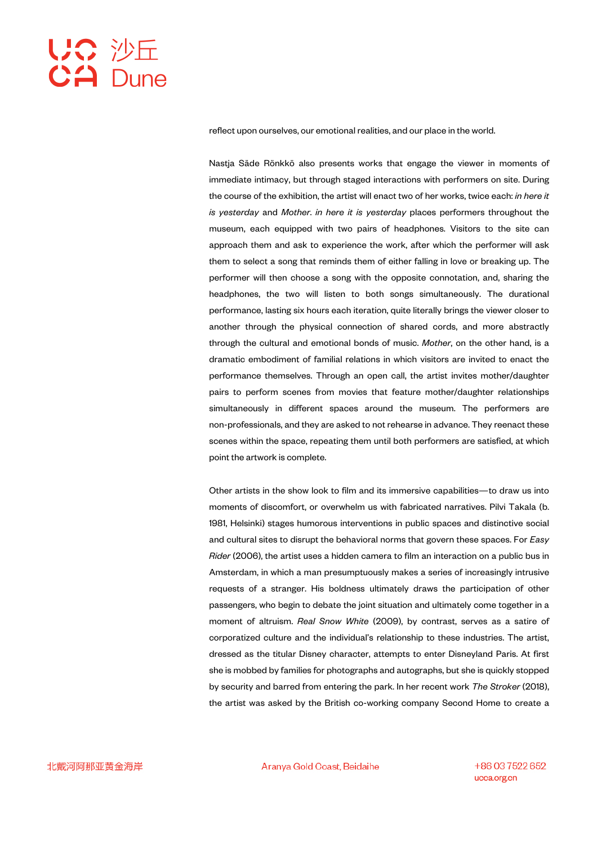# UC 沙丘<br>CA Dune

reflect upon ourselves, our emotional realities, and our place in the world.

Nastja Säde Rönkkö also presents works that engage the viewer in moments of immediate intimacy, but through staged interactions with performers on site. During the course of the exhibition, the artist will enact two of her works, twice each: *in here it is yesterday* and *Mother*. *in here it is yesterday* places performers throughout the museum, each equipped with two pairs of headphones. Visitors to the site can approach them and ask to experience the work, after which the performer will ask them to select a song that reminds them of either falling in love or breaking up. The performer will then choose a song with the opposite connotation, and, sharing the headphones, the two will listen to both songs simultaneously. The durational performance, lasting six hours each iteration, quite literally brings the viewer closer to another through the physical connection of shared cords, and more abstractly through the cultural and emotional bonds of music. *Mother*, on the other hand, is a dramatic embodiment of familial relations in which visitors are invited to enact the performance themselves. Through an open call, the artist invites mother/daughter pairs to perform scenes from movies that feature mother/daughter relationships simultaneously in different spaces around the museum. The performers are non-professionals, and they are asked to not rehearse in advance. They reenact these scenes within the space, repeating them until both performers are satisfied, at which point the artwork is complete.

Other artists in the show look to film and its immersive capabilities—to draw us into moments of discomfort, or overwhelm us with fabricated narratives. Pilvi Takala (b. 1981, Helsinki) stages humorous interventions in public spaces and distinctive social and cultural sites to disrupt the behavioral norms that govern these spaces. For *Easy Rider* (2006), the artist uses a hidden camera to film an interaction on a public bus in Amsterdam, in which a man presumptuously makes a series of increasingly intrusive requests of a stranger. His boldness ultimately draws the participation of other passengers, who begin to debate the joint situation and ultimately come together in a moment of altruism. *Real Snow White* (2009), by contrast, serves as a satire of corporatized culture and the individual's relationship to these industries. The artist, dressed as the titular Disney character, attempts to enter Disneyland Paris. At first she is mobbed by families for photographs and autographs, but she is quickly stopped by security and barred from entering the park. In her recent work *The Stroker* (2018), the artist was asked by the British co-working company Second Home to create a

Aranya Gold Coast, Beidaihe